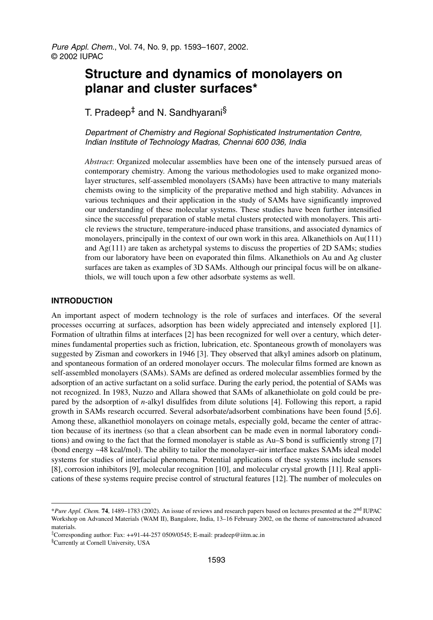# **Structure and dynamics of monolayers on planar and cluster surfaces\***

T. Pradeep<sup>‡</sup> and N. Sandhyarani<sup>§</sup>

Department of Chemistry and Regional Sophisticated Instrumentation Centre, Indian Institute of Technology Madras, Chennai 600 036, India

*Abstract*: Organized molecular assemblies have been one of the intensely pursued areas of contemporary chemistry. Among the various methodologies used to make organized monolayer structures, self-assembled monolayers (SAMs) have been attractive to many materials chemists owing to the simplicity of the preparative method and high stability. Advances in various techniques and their application in the study of SAMs have significantly improved our understanding of these molecular systems. These studies have been further intensified since the successful preparation of stable metal clusters protected with monolayers. This article reviews the structure, temperature-induced phase transitions, and associated dynamics of monolayers, principally in the context of our own work in this area. Alkanethiols on Au(111) and  $Ag(111)$  are taken as archetypal systems to discuss the properties of 2D SAMs; studies from our laboratory have been on evaporated thin films. Alkanethiols on Au and Ag cluster surfaces are taken as examples of 3D SAMs. Although our principal focus will be on alkanethiols, we will touch upon a few other adsorbate systems as well.

# **INTRODUCTION**

An important aspect of modern technology is the role of surfaces and interfaces. Of the several processes occurring at surfaces, adsorption has been widely appreciated and intensely explored [1]. Formation of ultrathin films at interfaces [2] has been recognized for well over a century, which determines fundamental properties such as friction, lubrication, etc. Spontaneous growth of monolayers was suggested by Zisman and coworkers in 1946 [3]. They observed that alkyl amines adsorb on platinum, and spontaneous formation of an ordered monolayer occurs. The molecular films formed are known as self-assembled monolayers (SAMs). SAMs are defined as ordered molecular assemblies formed by the adsorption of an active surfactant on a solid surface. During the early period, the potential of SAMs was not recognized. In 1983, Nuzzo and Allara showed that SAMs of alkanethiolate on gold could be prepared by the adsorption of *n*-alkyl disulfides from dilute solutions [4]. Following this report, a rapid growth in SAMs research occurred. Several adsorbate/adsorbent combinations have been found [5,6]. Among these, alkanethiol monolayers on coinage metals, especially gold, became the center of attraction because of its inertness (so that a clean absorbent can be made even in normal laboratory conditions) and owing to the fact that the formed monolayer is stable as Au–S bond is sufficiently strong [7] (bond energy ~48 kcal/mol). The ability to tailor the monolayer–air interface makes SAMs ideal model systems for studies of interfacial phenomena. Potential applications of these systems include sensors [8], corrosion inhibitors [9], molecular recognition [10], and molecular crystal growth [11]. Real applications of these systems require precise control of structural features [12]. The number of molecules on

<sup>\*</sup>*Pure Appl. Chem.* **74**, 1489–1783 (2002). An issue of reviews and research papers based on lectures presented at the 2nd IUPAC Workshop on Advanced Materials (WAM II), Bangalore, India, 13–16 February 2002, on the theme of nanostructured advanced materials.

<sup>‡</sup> Corresponding author: Fax: ++91-44-257 0509/0545; E-mail: pradeep@iitm.ac.in

<sup>§</sup> Currently at Cornell University, USA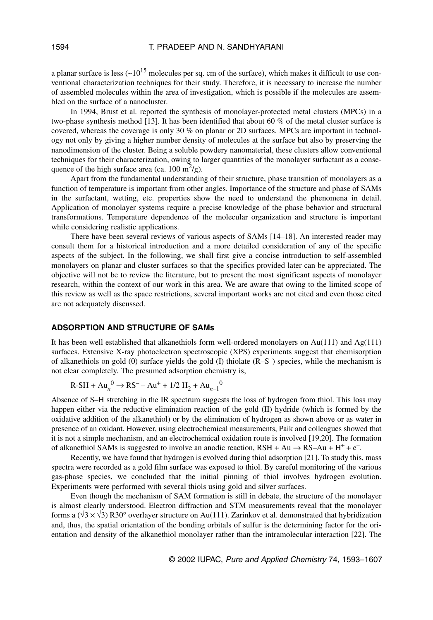a planar surface is less  $(\sim 10^{15}$  molecules per sq. cm of the surface), which makes it difficult to use conventional characterization techniques for their study. Therefore, it is necessary to increase the number of assembled molecules within the area of investigation, which is possible if the molecules are assembled on the surface of a nanocluster.

In 1994, Brust et al*.* reported the synthesis of monolayer-protected metal clusters (MPCs) in a two-phase synthesis method [13]. It has been identified that about 60 % of the metal cluster surface is covered, whereas the coverage is only 30 % on planar or 2D surfaces. MPCs are important in technology not only by giving a higher number density of molecules at the surface but also by preserving the nanodimension of the cluster. Being a soluble powdery nanomaterial, these clusters allow conventional techniques for their characterization, owing to larger quantities of the monolayer surfactant as a consequence of the high surface area (ca.  $100 \text{ m}^2/\text{g}$ ).

Apart from the fundamental understanding of their structure, phase transition of monolayers as a function of temperature is important from other angles. Importance of the structure and phase of SAMs in the surfactant, wetting, etc. properties show the need to understand the phenomena in detail. Application of monolayer systems require a precise knowledge of the phase behavior and structural transformations. Temperature dependence of the molecular organization and structure is important while considering realistic applications.

There have been several reviews of various aspects of SAMs [14–18]. An interested reader may consult them for a historical introduction and a more detailed consideration of any of the specific aspects of the subject. In the following, we shall first give a concise introduction to self-assembled monolayers on planar and cluster surfaces so that the specifics provided later can be appreciated. The objective will not be to review the literature, but to present the most significant aspects of monolayer research, within the context of our work in this area. We are aware that owing to the limited scope of this review as well as the space restrictions, several important works are not cited and even those cited are not adequately discussed.

#### **ADSORPTION AND STRUCTURE OF SAMs**

It has been well established that alkanethiols form well-ordered monolayers on Au(111) and Ag(111) surfaces. Extensive X-ray photoelectron spectroscopic (XPS) experiments suggest that chemisorption of alkanethiols on gold (0) surface yields the gold (I) thiolate  $(R-S^-)$  species, while the mechanism is not clear completely. The presumed adsorption chemistry is,

$$
R-SH + Au_n^0 \rightarrow RS^- - Au^+ + 1/2 H_2 + Au_{n-1}^0
$$

Absence of S–H stretching in the IR spectrum suggests the loss of hydrogen from thiol. This loss may happen either via the reductive elimination reaction of the gold (II) hydride (which is formed by the oxidative addition of the alkanethiol) or by the elimination of hydrogen as shown above or as water in presence of an oxidant. However, using electrochemical measurements, Paik and colleagues showed that it is not a simple mechanism, and an electrochemical oxidation route is involved [19,20]. The formation of alkanethiol SAMs is suggested to involve an anodic reaction,  $RSH + Au \rightarrow RS-Au + H^+ + e^-$ .

Recently, we have found that hydrogen is evolved during thiol adsorption [21]. To study this, mass spectra were recorded as a gold film surface was exposed to thiol. By careful monitoring of the various gas-phase species, we concluded that the initial pinning of thiol involves hydrogen evolution. Experiments were performed with several thiols using gold and silver surfaces.

Even though the mechanism of SAM formation is still in debate, the structure of the monolayer is almost clearly understood. Electron diffraction and STM measurements reveal that the monolayer forms a  $(\sqrt{3} \times \sqrt{3})$  R30° overlayer structure on Au(111). Zarinkov et al. demonstrated that hybridization and, thus, the spatial orientation of the bonding orbitals of sulfur is the determining factor for the orientation and density of the alkanethiol monolayer rather than the intramolecular interaction [22]. The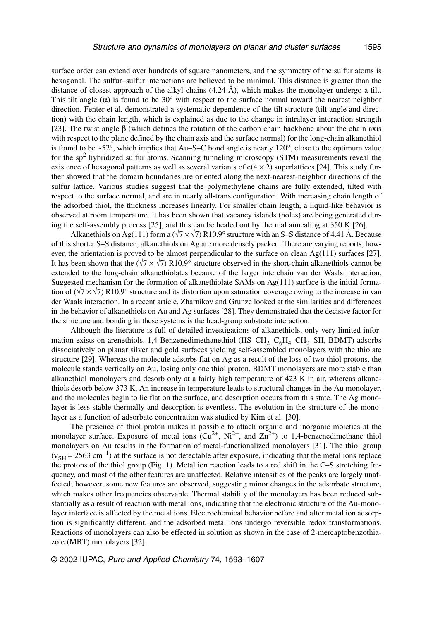surface order can extend over hundreds of square nanometers, and the symmetry of the sulfur atoms is hexagonal. The sulfur–sulfur interactions are believed to be minimal. This distance is greater than the distance of closest approach of the alkyl chains  $(4.24 \text{ Å})$ , which makes the monolayer undergo a tilt. This tilt angle  $(\alpha)$  is found to be 30° with respect to the surface normal toward the nearest neighbor direction. Fenter et al*.* demonstrated a systematic dependence of the tilt structure (tilt angle and direction) with the chain length, which is explained as due to the change in intralayer interaction strength [23]. The twist angle β (which defines the rotation of the carbon chain backbone about the chain axis with respect to the plane defined by the chain axis and the surface normal) for the long-chain alkanethiol is found to be  $\sim$ 52°, which implies that Au–S–C bond angle is nearly 120°, close to the optimum value for the  $sp<sup>2</sup>$  hybridized sulfur atoms. Scanning tunneling microscopy (STM) measurements reveal the existence of hexagonal patterns as well as several variants of  $c(4 \times 2)$  superlattices [24]. This study further showed that the domain boundaries are oriented along the next-nearest-neighbor directions of the sulfur lattice. Various studies suggest that the polymethylene chains are fully extended, tilted with respect to the surface normal, and are in nearly all-trans configuration. With increasing chain length of the adsorbed thiol, the thickness increases linearly. For smaller chain length, a liquid-like behavior is observed at room temperature. It has been shown that vacancy islands (holes) are being generated during the self-assembly process [25], and this can be healed out by thermal annealing at 350 K [26].

Alkanethiols on Ag(111) form a  $(\sqrt{7} \times \sqrt{7})$  R10.9° structure with an S–S distance of 4.41 Å. Because of this shorter S–S distance, alkanethiols on Ag are more densely packed. There are varying reports, however, the orientation is proved to be almost perpendicular to the surface on clean  $Ag(111)$  surfaces [27]. It has been shown that the  $(\sqrt{7} \times \sqrt{7})$  R10.9° structure observed in the short-chain alkanethiols cannot be extended to the long-chain alkanethiolates because of the larger interchain van der Waals interaction. Suggested mechanism for the formation of alkanethiolate SAMs on  $Ag(111)$  surface is the initial formation of  $(\sqrt{7} \times \sqrt{7})$  R10.9° structure and its distortion upon saturation coverage owing to the increase in van der Waals interaction. In a recent article, Zharnikov and Grunze looked at the similarities and differences in the behavior of alkanethiols on Au and Ag surfaces [28]. They demonstrated that the decisive factor for the structure and bonding in these systems is the head-group substrate interaction.

Although the literature is full of detailed investigations of alkanethiols, only very limited information exists on arenethiols. 1,4-Benzenedimethanethiol (HS–CH<sub>2</sub>–C<sub>6</sub>H<sub>4</sub>–CH<sub>2</sub>–SH, BDMT) adsorbs dissociatively on planar silver and gold surfaces yielding self-assembled monolayers with the thiolate structure [29]. Whereas the molecule adsorbs flat on Ag as a result of the loss of two thiol protons, the molecule stands vertically on Au, losing only one thiol proton. BDMT monolayers are more stable than alkanethiol monolayers and desorb only at a fairly high temperature of 423 K in air, whereas alkanethiols desorb below 373 K. An increase in temperature leads to structural changes in the Au monolayer, and the molecules begin to lie flat on the surface, and desorption occurs from this state. The Ag monolayer is less stable thermally and desorption is eventless. The evolution in the structure of the monolayer as a function of adsorbate concentration was studied by Kim et al. [30]*.*

The presence of thiol proton makes it possible to attach organic and inorganic moieties at the monolayer surface. Exposure of metal ions  $(Cu^{2+}$ ,  $Ni^{2+}$ , and  $Zn^{2+}$ ) to 1,4-benzenedimethane thiol monolayers on Au results in the formation of metal-functionalized monolayers [31]. The thiol group  $(v<sub>SH</sub> = 2563$  cm<sup>-1</sup>) at the surface is not detectable after exposure, indicating that the metal ions replace the protons of the thiol group (Fig. 1). Metal ion reaction leads to a red shift in the C–S stretching frequency, and most of the other features are unaffected. Relative intensities of the peaks are largely unaffected; however, some new features are observed, suggesting minor changes in the adsorbate structure, which makes other frequencies observable. Thermal stability of the monolayers has been reduced substantially as a result of reaction with metal ions, indicating that the electronic structure of the Au-monolayer interface is affected by the metal ions. Electrochemical behavior before and after metal ion adsorption is significantly different, and the adsorbed metal ions undergo reversible redox transformations. Reactions of monolayers can also be effected in solution as shown in the case of 2-mercaptobenzothiazole (MBT) monolayers [32].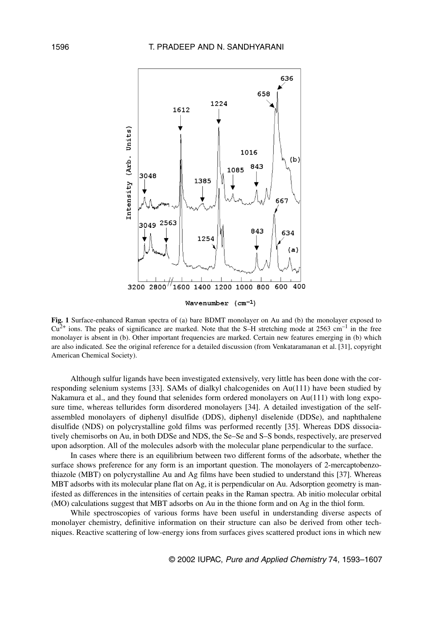

**Fig. 1** Surface-enhanced Raman spectra of (a) bare BDMT monolayer on Au and (b) the monolayer exposed to  $Cu^{2+}$  ions. The peaks of significance are marked. Note that the S–H stretching mode at 2563 cm<sup>-1</sup> in the free monolayer is absent in (b). Other important frequencies are marked. Certain new features emerging in (b) which are also indicated. See the original reference for a detailed discussion (from Venkataramanan et al. [31], copyright American Chemical Society).

Although sulfur ligands have been investigated extensively, very little has been done with the corresponding selenium systems [33]. SAMs of dialkyl chalcogenides on Au(111) have been studied by Nakamura et al., and they found that selenides form ordered monolayers on Au(111) with long exposure time, whereas tellurides form disordered monolayers [34]. A detailed investigation of the selfassembled monolayers of diphenyl disulfide (DDS), diphenyl diselenide (DDSe), and naphthalene disulfide (NDS) on polycrystalline gold films was performed recently [35]. Whereas DDS dissociatively chemisorbs on Au, in both DDSe and NDS, the Se–Se and S–S bonds, respectively, are preserved upon adsorption. All of the molecules adsorb with the molecular plane perpendicular to the surface.

In cases where there is an equilibrium between two different forms of the adsorbate, whether the surface shows preference for any form is an important question. The monolayers of 2-mercaptobenzothiazole (MBT) on polycrystalline Au and Ag films have been studied to understand this [37]. Whereas MBT adsorbs with its molecular plane flat on Ag, it is perpendicular on Au. Adsorption geometry is manifested as differences in the intensities of certain peaks in the Raman spectra. Ab initio molecular orbital (MO) calculations suggest that MBT adsorbs on Au in the thione form and on Ag in the thiol form.

While spectroscopies of various forms have been useful in understanding diverse aspects of monolayer chemistry, definitive information on their structure can also be derived from other techniques. Reactive scattering of low-energy ions from surfaces gives scattered product ions in which new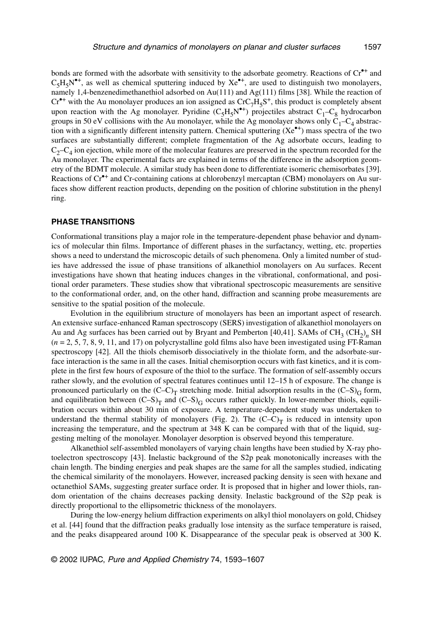bonds are formed with the adsorbate with sensitivity to the adsorbate geometry. Reactions of Cr<sup>•+</sup> and  $C_5H_5N^{\bullet+}$ , as well as chemical sputtering induced by  $Xe^{\bullet+}$ , are used to distinguish two monolayers, namely 1,4-benzenedimethanethiol adsorbed on Au(111) and Ag(111) films [38]. While the reaction of  $Cr<sup>•+</sup>$  with the Au monolayer produces an ion assigned as  $CrC<sub>7</sub>H<sub>5</sub>S<sup>+</sup>$ , this product is completely absent upon reaction with the Ag monolayer. Pyridine  $(C_5H_5N^{\bullet+})$  projectiles abstract  $C_1-C_8$  hydrocarbon groups in 50 eV collisions with the Au monolayer, while the Ag monolayer shows only  $C_1-C_4$  abstraction with a significantly different intensity pattern. Chemical sputtering  $(Xe<sup>{\bullet+}</sup>)$  mass spectra of the two surfaces are substantially different; complete fragmentation of the Ag adsorbate occurs, leading to  $C_2-C_4$  ion ejection, while more of the molecular features are preserved in the spectrum recorded for the Au monolayer. The experimental facts are explained in terms of the difference in the adsorption geometry of the BDMT molecule. A similar study has been done to differentiate isomeric chemisorbates [39]. Reactions of Cr<sup>\*+</sup> and Cr-containing cations at chlorobenzyl mercaptan (CBM) monolayers on Au surfaces show different reaction products, depending on the position of chlorine substitution in the phenyl ring.

#### **PHASE TRANSITIONS**

Conformational transitions play a major role in the temperature-dependent phase behavior and dynamics of molecular thin films. Importance of different phases in the surfactancy, wetting, etc. properties shows a need to understand the microscopic details of such phenomena. Only a limited number of studies have addressed the issue of phase transitions of alkanethiol monolayers on Au surfaces. Recent investigations have shown that heating induces changes in the vibrational, conformational, and positional order parameters. These studies show that vibrational spectroscopic measurements are sensitive to the conformational order, and, on the other hand, diffraction and scanning probe measurements are sensitive to the spatial position of the molecule.

Evolution in the equilibrium structure of monolayers has been an important aspect of research. An extensive surface-enhanced Raman spectroscopy (SERS) investigation of alkanethiol monolayers on Au and Ag surfaces has been carried out by Bryant and Pemberton [40,41]. SAMs of CH<sub>3</sub> (CH<sub>2</sub>)<sub>n</sub> SH  $(n = 2, 5, 7, 8, 9, 11,$  and 17) on polycrystalline gold films also have been investigated using FT-Raman spectroscopy [42]. All the thiols chemisorb dissociatively in the thiolate form, and the adsorbate-surface interaction is the same in all the cases. Initial chemisorption occurs with fast kinetics, and it is complete in the first few hours of exposure of the thiol to the surface. The formation of self-assembly occurs rather slowly, and the evolution of spectral features continues until 12–15 h of exposure. The change is pronounced particularly on the  $(C-C)<sub>T</sub>$  stretching mode. Initial adsorption results in the  $(C-S)<sub>G</sub>$  form, and equilibration between  $(C-S)_T$  and  $(C-S)_G$  occurs rather quickly. In lower-member thiols, equilibration occurs within about 30 min of exposure. A temperature-dependent study was undertaken to understand the thermal stability of monolayers (Fig. 2). The  $(C-C)<sub>T</sub>$  is reduced in intensity upon increasing the temperature, and the spectrum at 348 K can be compared with that of the liquid, suggesting melting of the monolayer. Monolayer desorption is observed beyond this temperature.

Alkanethiol self-assembled monolayers of varying chain lengths have been studied by X-ray photoelectron spectroscopy [43]. Inelastic background of the S2p peak monotonically increases with the chain length. The binding energies and peak shapes are the same for all the samples studied, indicating the chemical similarity of the monolayers. However, increased packing density is seen with hexane and octanethiol SAMs, suggesting greater surface order. It is proposed that in higher and lower thiols, random orientation of the chains decreases packing density. Inelastic background of the S2p peak is directly proportional to the ellipsometric thickness of the monolayers.

During the low-energy helium diffraction experiments on alkyl thiol monolayers on gold, Chidsey et al. [44] found that the diffraction peaks gradually lose intensity as the surface temperature is raised, and the peaks disappeared around 100 K. Disappearance of the specular peak is observed at 300 K.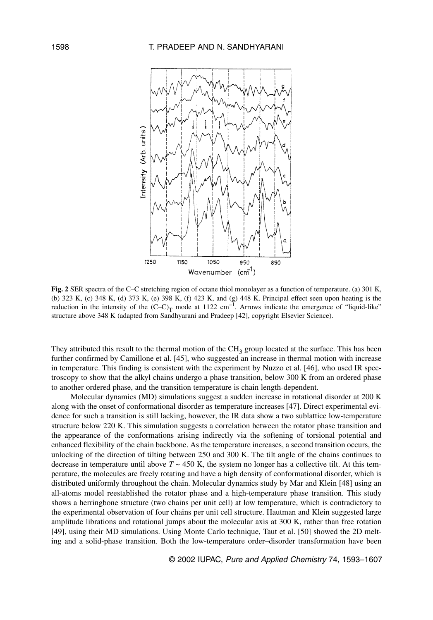

**Fig. 2** SER spectra of the C–C stretching region of octane thiol monolayer as a function of temperature. (a) 301 K, (b) 323 K, (c) 348 K, (d) 373 K, (e) 398 K, (f) 423 K, and (g) 448 K. Principal effect seen upon heating is the reduction in the intensity of the  $(C-C)_T$  mode at 1122 cm<sup>-1</sup>. Arrows indicate the emergence of "liquid-like" structure above 348 K (adapted from Sandhyarani and Pradeep [42], copyright Elsevier Science).

They attributed this result to the thermal motion of the  $CH<sub>3</sub>$  group located at the surface. This has been further confirmed by Camillone et al. [45], who suggested an increase in thermal motion with increase in temperature. This finding is consistent with the experiment by Nuzzo et al. [46], who used IR spectroscopy to show that the alkyl chains undergo a phase transition, below 300 K from an ordered phase to another ordered phase, and the transition temperature is chain length-dependent.

Molecular dynamics (MD) simulations suggest a sudden increase in rotational disorder at 200 K along with the onset of conformational disorder as temperature increases [47]. Direct experimental evidence for such a transition is still lacking, however, the IR data show a two sublattice low-temperature structure below 220 K. This simulation suggests a correlation between the rotator phase transition and the appearance of the conformations arising indirectly via the softening of torsional potential and enhanced flexibility of the chain backbone. As the temperature increases, a second transition occurs, the unlocking of the direction of tilting between 250 and 300 K. The tilt angle of the chains continues to decrease in temperature until above  $T \sim 450$  K, the system no longer has a collective tilt. At this temperature, the molecules are freely rotating and have a high density of conformational disorder, which is distributed uniformly throughout the chain. Molecular dynamics study by Mar and Klein [48] using an all-atoms model reestablished the rotator phase and a high-temperature phase transition. This study shows a herringbone structure (two chains per unit cell) at low temperature, which is contradictory to the experimental observation of four chains per unit cell structure. Hautman and Klein suggested large amplitude librations and rotational jumps about the molecular axis at 300 K, rather than free rotation [49], using their MD simulations. Using Monte Carlo technique, Taut et al. [50] showed the 2D melting and a solid-phase transition. Both the low-temperature order–disorder transformation have been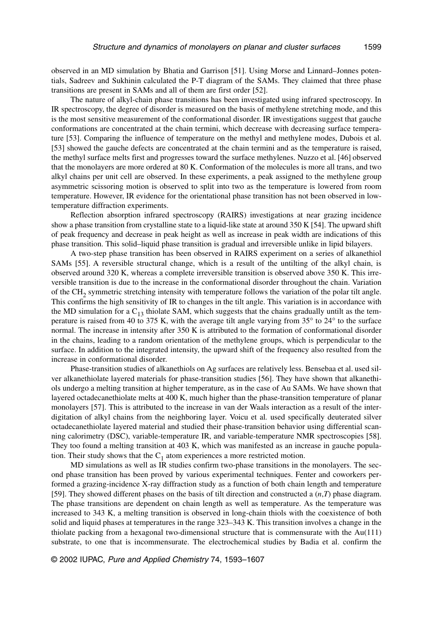observed in an MD simulation by Bhatia and Garrison [51]. Using Morse and Linnard–Jonnes potentials, Sadreev and Sukhinin calculated the P-T diagram of the SAMs. They claimed that three phase transitions are present in SAMs and all of them are first order [52].

The nature of alkyl-chain phase transitions has been investigated using infrared spectroscopy. In IR spectroscopy, the degree of disorder is measured on the basis of methylene stretching mode, and this is the most sensitive measurement of the conformational disorder. IR investigations suggest that gauche conformations are concentrated at the chain termini, which decrease with decreasing surface temperature [53]. Comparing the influence of temperature on the methyl and methylene modes, Dubois et al. [53] showed the gauche defects are concentrated at the chain termini and as the temperature is raised, the methyl surface melts first and progresses toward the surface methylenes. Nuzzo et al. [46] observed that the monolayers are more ordered at 80 K. Conformation of the molecules is more all trans, and two alkyl chains per unit cell are observed. In these experiments, a peak assigned to the methylene group asymmetric scissoring motion is observed to split into two as the temperature is lowered from room temperature. However, IR evidence for the orientational phase transition has not been observed in lowtemperature diffraction experiments.

Reflection absorption infrared spectroscopy (RAIRS) investigations at near grazing incidence show a phase transition from crystalline state to a liquid-like state at around 350 K [54]. The upward shift of peak frequency and decrease in peak height as well as increase in peak width are indications of this phase transition. This solid–liquid phase transition is gradual and irreversible unlike in lipid bilayers.

A two-step phase transition has been observed in RAIRS experiment on a series of alkanethiol SAMs [55]. A reversible structural change, which is a result of the untilting of the alkyl chain, is observed around 320 K, whereas a complete irreversible transition is observed above 350 K. This irreversible transition is due to the increase in the conformational disorder throughout the chain. Variation of the CH<sub>2</sub> symmetric stretching intensity with temperature follows the variation of the polar tilt angle. This confirms the high sensitivity of IR to changes in the tilt angle. This variation is in accordance with the MD simulation for a  $C_{13}$  thiolate SAM, which suggests that the chains gradually untilt as the temperature is raised from 40 to 375 K, with the average tilt angle varying from 35° to 24° to the surface normal. The increase in intensity after 350 K is attributed to the formation of conformational disorder in the chains, leading to a random orientation of the methylene groups, which is perpendicular to the surface. In addition to the integrated intensity, the upward shift of the frequency also resulted from the increase in conformational disorder.

Phase-transition studies of alkanethiols on Ag surfaces are relatively less. Bensebaa et al. used silver alkanethiolate layered materials for phase-transition studies [56]. They have shown that alkanethiols undergo a melting transition at higher temperature, as in the case of Au SAMs. We have shown that layered octadecanethiolate melts at 400 K, much higher than the phase-transition temperature of planar monolayers [57]. This is attributed to the increase in van der Waals interaction as a result of the interdigitation of alkyl chains from the neighboring layer. Voicu et al*.* used specifically deuterated silver octadecanethiolate layered material and studied their phase-transition behavior using differential scanning calorimetry (DSC), variable-temperature IR, and variable-temperature NMR spectroscopies [58]. They too found a melting transition at 403 K, which was manifested as an increase in gauche population. Their study shows that the  $C_1$  atom experiences a more restricted motion.

MD simulations as well as IR studies confirm two-phase transitions in the monolayers. The second phase transition has been proved by various experimental techniques. Fenter and coworkers performed a grazing-incidence X-ray diffraction study as a function of both chain length and temperature [59]. They showed different phases on the basis of tilt direction and constructed a (*n*,*T*) phase diagram. The phase transitions are dependent on chain length as well as temperature. As the temperature was increased to 343 K, a melting transition is observed in long-chain thiols with the coexistence of both solid and liquid phases at temperatures in the range 323–343 K. This transition involves a change in the thiolate packing from a hexagonal two-dimensional structure that is commensurate with the Au(111) substrate, to one that is incommensurate. The electrochemical studies by Badia et al. confirm the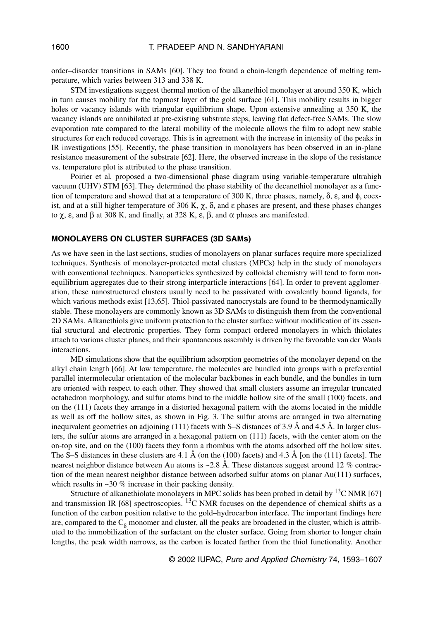order–disorder transitions in SAMs [60]. They too found a chain-length dependence of melting temperature, which varies between 313 and 338 K.

STM investigations suggest thermal motion of the alkanethiol monolayer at around 350 K, which in turn causes mobility for the topmost layer of the gold surface [61]. This mobility results in bigger holes or vacancy islands with triangular equilibrium shape. Upon extensive annealing at 350 K, the vacancy islands are annihilated at pre-existing substrate steps, leaving flat defect-free SAMs. The slow evaporation rate compared to the lateral mobility of the molecule allows the film to adopt new stable structures for each reduced coverage. This is in agreement with the increase in intensity of the peaks in IR investigations [55]. Recently, the phase transition in monolayers has been observed in an in-plane resistance measurement of the substrate [62]. Here, the observed increase in the slope of the resistance vs. temperature plot is attributed to the phase transition.

Poirier et al*.* proposed a two-dimensional phase diagram using variable-temperature ultrahigh vacuum (UHV) STM [63]. They determined the phase stability of the decanethiol monolayer as a function of temperature and showed that at a temperature of 300 K, three phases, namely,  $\delta$ ,  $\varepsilon$ , and  $\phi$ , coexist, and at a still higher temperature of 306 K,  $\chi$ , δ, and ε phases are present, and these phases changes to  $\chi$ , ε, and  $\beta$  at 308 K, and finally, at 328 K, ε,  $\beta$ , and  $\alpha$  phases are manifested.

### **MONOLAYERS ON CLUSTER SURFACES (3D SAMs)**

As we have seen in the last sections, studies of monolayers on planar surfaces require more specialized techniques. Synthesis of monolayer-protected metal clusters (MPCs) help in the study of monolayers with conventional techniques. Nanoparticles synthesized by colloidal chemistry will tend to form nonequilibrium aggregates due to their strong interparticle interactions [64]. In order to prevent agglomeration, these nanostructured clusters usually need to be passivated with covalently bound ligands, for which various methods exist [13,65]. Thiol-passivated nanocrystals are found to be thermodynamically stable. These monolayers are commonly known as 3D SAMs to distinguish them from the conventional 2D SAMs. Alkanethiols give uniform protection to the cluster surface without modification of its essential structural and electronic properties. They form compact ordered monolayers in which thiolates attach to various cluster planes, and their spontaneous assembly is driven by the favorable van der Waals interactions.

MD simulations show that the equilibrium adsorption geometries of the monolayer depend on the alkyl chain length [66]. At low temperature, the molecules are bundled into groups with a preferential parallel intermolecular orientation of the molecular backbones in each bundle, and the bundles in turn are oriented with respect to each other. They showed that small clusters assume an irregular truncated octahedron morphology, and sulfur atoms bind to the middle hollow site of the small (100) facets, and on the (111) facets they arrange in a distorted hexagonal pattern with the atoms located in the middle as well as off the hollow sites, as shown in Fig. 3. The sulfur atoms are arranged in two alternating inequivalent geometries on adjoining (111) facets with S–S distances of 3.9 Å and 4.5 Å. In larger clusters, the sulfur atoms are arranged in a hexagonal pattern on (111) facets, with the center atom on the on-top site, and on the (100) facets they form a rhombus with the atoms adsorbed off the hollow sites. The S–S distances in these clusters are 4.1 Å (on the (100) facets) and 4.3 Å [on the (111) facets]. The nearest neighbor distance between Au atoms is  $\sim$  2.8 Å. These distances suggest around 12 % contraction of the mean nearest neighbor distance between adsorbed sulfur atoms on planar Au(111) surfaces, which results in ~30 % increase in their packing density.

Structure of alkanethiolate monolayers in MPC solids has been probed in detail by  ${}^{13}C$  NMR [67] and transmission IR [68] spectroscopies.  $^{13}$ C NMR focuses on the dependence of chemical shifts as a function of the carbon position relative to the gold–hydrocarbon interface. The important findings here are, compared to the  $C_8$  monomer and cluster, all the peaks are broadened in the cluster, which is attributed to the immobilization of the surfactant on the cluster surface. Going from shorter to longer chain lengths, the peak width narrows, as the carbon is located farther from the thiol functionality. Another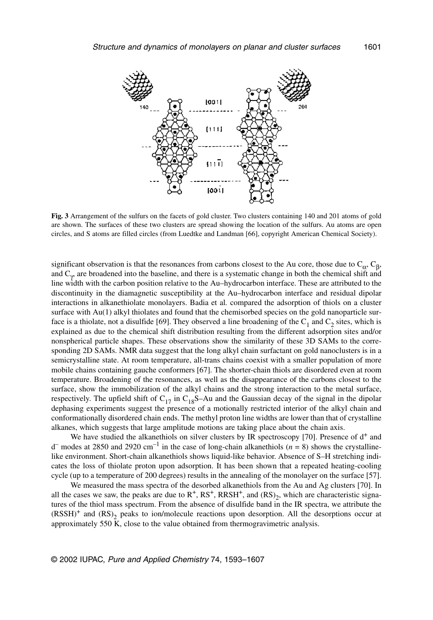

**Fig. 3** Arrangement of the sulfurs on the facets of gold cluster. Two clusters containing 140 and 201 atoms of gold are shown. The surfaces of these two clusters are spread showing the location of the sulfurs. Au atoms are open circles, and S atoms are filled circles (from Luedtke and Landman [66], copyright American Chemical Society).

significant observation is that the resonances from carbons closest to the Au core, those due to  $C_{\alpha}$ ,  $C_{\beta}$ , and  $C_{\gamma}$  are broadened into the baseline, and there is a systematic change in both the chemical shift and line width with the carbon position relative to the Au–hydrocarbon interface. These are attributed to the discontinuity in the diamagnetic susceptibility at the Au–hydrocarbon interface and residual dipolar interactions in alkanethiolate monolayers. Badia et al*.* compared the adsorption of thiols on a cluster surface with Au(1) alkyl thiolates and found that the chemisorbed species on the gold nanoparticle surface is a thiolate, not a disulfide [69]. They observed a line broadening of the  $C_1$  and  $C_2$  sites, which is explained as due to the chemical shift distribution resulting from the different adsorption sites and/or nonspherical particle shapes. These observations show the similarity of these 3D SAMs to the corresponding 2D SAMs. NMR data suggest that the long alkyl chain surfactant on gold nanoclusters is in a semicrystalline state. At room temperature, all-trans chains coexist with a smaller population of more mobile chains containing gauche conformers [67]. The shorter-chain thiols are disordered even at room temperature. Broadening of the resonances, as well as the disappearance of the carbons closest to the surface, show the immobilization of the alkyl chains and the strong interaction to the metal surface, respectively. The upfield shift of  $C_{17}$  in  $C_{18}$ S–Au and the Gaussian decay of the signal in the dipolar dephasing experiments suggest the presence of a motionally restricted interior of the alkyl chain and conformationally disordered chain ends. The methyl proton line widths are lower than that of crystalline alkanes, which suggests that large amplitude motions are taking place about the chain axis.

We have studied the alkanethiols on silver clusters by IR spectroscopy [70]. Presence of  $d^+$  and  $d^-$  modes at 2850 and 2920 cm<sup>-1</sup> in the case of long-chain alkanethiols ( $n = 8$ ) shows the crystallinelike environment. Short-chain alkanethiols shows liquid-like behavior. Absence of S–H stretching indicates the loss of thiolate proton upon adsorption. It has been shown that a repeated heating-cooling cycle (up to a temperature of 200 degrees) results in the annealing of the monolayer on the surface [57].

We measured the mass spectra of the desorbed alkanethiols from the Au and Ag clusters [70]. In all the cases we saw, the peaks are due to  $R^+$ ,  $RS^+$ ,  $RRSH^+$ , and  $(RS)$ <sub>2</sub>, which are characteristic signatures of the thiol mass spectrum. From the absence of disulfide band in the IR spectra, we attribute the  $(RSSH)^+$  and  $(RS)$ , peaks to ion/molecule reactions upon desorption. All the desorptions occur at approximately 550 K, close to the value obtained from thermogravimetric analysis.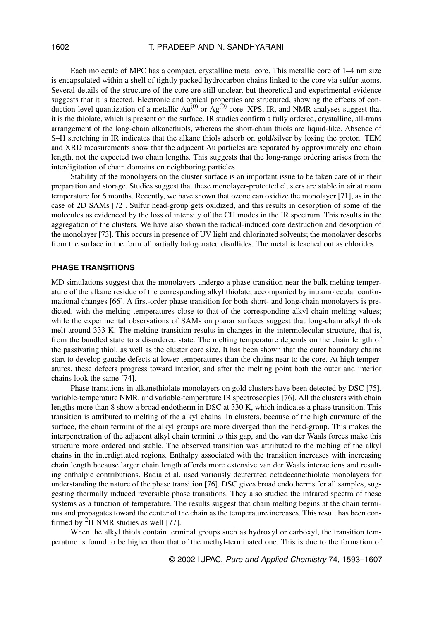Each molecule of MPC has a compact, crystalline metal core. This metallic core of 1–4 nm size is encapsulated within a shell of tightly packed hydrocarbon chains linked to the core via sulfur atoms. Several details of the structure of the core are still unclear, but theoretical and experimental evidence suggests that it is faceted. Electronic and optical properties are structured, showing the effects of conduction-level quantization of a metallic  $Au^{(0)}$  or  $Ag^{(0)}$  core. XPS, IR, and NMR analyses suggest that it is the thiolate, which is present on the surface. IR studies confirm a fully ordered, crystalline, all-trans arrangement of the long-chain alkanethiols, whereas the short-chain thiols are liquid-like. Absence of S–H stretching in IR indicates that the alkane thiols adsorb on gold/silver by losing the proton. TEM and XRD measurements show that the adjacent Au particles are separated by approximately one chain length, not the expected two chain lengths. This suggests that the long-range ordering arises from the interdigitation of chain domains on neighboring particles.

Stability of the monolayers on the cluster surface is an important issue to be taken care of in their preparation and storage. Studies suggest that these monolayer-protected clusters are stable in air at room temperature for 6 months. Recently, we have shown that ozone can oxidize the monolayer [71], as in the case of 2D SAMs [72]. Sulfur head-group gets oxidized, and this results in desorption of some of the molecules as evidenced by the loss of intensity of the CH modes in the IR spectrum. This results in the aggregation of the clusters. We have also shown the radical-induced core destruction and desorption of the monolayer [73]. This occurs in presence of UV light and chlorinated solvents; the monolayer desorbs from the surface in the form of partially halogenated disulfides. The metal is leached out as chlorides.

## **PHASE TRANSITIONS**

MD simulations suggest that the monolayers undergo a phase transition near the bulk melting temperature of the alkane residue of the corresponding alkyl thiolate, accompanied by intramolecular conformational changes [66]. A first-order phase transition for both short- and long-chain monolayers is predicted, with the melting temperatures close to that of the corresponding alkyl chain melting values; while the experimental observations of SAMs on planar surfaces suggest that long-chain alkyl thiols melt around 333 K. The melting transition results in changes in the intermolecular structure, that is, from the bundled state to a disordered state. The melting temperature depends on the chain length of the passivating thiol, as well as the cluster core size. It has been shown that the outer boundary chains start to develop gauche defects at lower temperatures than the chains near to the core. At high temperatures, these defects progress toward interior, and after the melting point both the outer and interior chains look the same [74].

Phase transitions in alkanethiolate monolayers on gold clusters have been detected by DSC [75], variable-temperature NMR, and variable-temperature IR spectroscopies [76]. All the clusters with chain lengths more than 8 show a broad endotherm in DSC at 330 K, which indicates a phase transition. This transition is attributed to melting of the alkyl chains. In clusters, because of the high curvature of the surface, the chain termini of the alkyl groups are more diverged than the head-group. This makes the interpenetration of the adjacent alkyl chain termini to this gap, and the van der Waals forces make this structure more ordered and stable. The observed transition was attributed to the melting of the alkyl chains in the interdigitated regions. Enthalpy associated with the transition increases with increasing chain length because larger chain length affords more extensive van der Waals interactions and resulting enthalpic contributions. Badia et al*.* used variously deuterated octadecanethiolate monolayers for understanding the nature of the phase transition [76]. DSC gives broad endotherms for all samples, suggesting thermally induced reversible phase transitions. They also studied the infrared spectra of these systems as a function of temperature. The results suggest that chain melting begins at the chain terminus and propagates toward the center of the chain as the temperature increases. This result has been confirmed by  ${}^{2}H$  NMR studies as well [77].

When the alkyl thiols contain terminal groups such as hydroxyl or carboxyl, the transition temperature is found to be higher than that of the methyl-terminated one. This is due to the formation of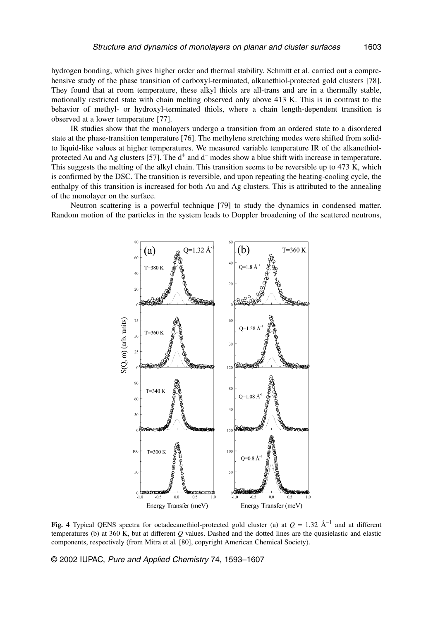hydrogen bonding, which gives higher order and thermal stability. Schmitt et al. carried out a comprehensive study of the phase transition of carboxyl-terminated, alkanethiol-protected gold clusters [78]. They found that at room temperature, these alkyl thiols are all-trans and are in a thermally stable, motionally restricted state with chain melting observed only above 413 K. This is in contrast to the behavior of methyl- or hydroxyl-terminated thiols, where a chain length-dependent transition is observed at a lower temperature [77].

IR studies show that the monolayers undergo a transition from an ordered state to a disordered state at the phase-transition temperature [76]. The methylene stretching modes were shifted from solidto liquid-like values at higher temperatures. We measured variable temperature IR of the alkanethiolprotected Au and Ag clusters [57]. The d<sup>+</sup> and d<sup>-</sup> modes show a blue shift with increase in temperature. This suggests the melting of the alkyl chain. This transition seems to be reversible up to 473 K, which is confirmed by the DSC. The transition is reversible, and upon repeating the heating-cooling cycle, the enthalpy of this transition is increased for both Au and Ag clusters. This is attributed to the annealing of the monolayer on the surface.

Neutron scattering is a powerful technique [79] to study the dynamics in condensed matter. Random motion of the particles in the system leads to Doppler broadening of the scattered neutrons,



**Fig. 4** Typical QENS spectra for octadecanethiol-protected gold cluster (a) at  $Q = 1.32 \text{ Å}^{-1}$  and at different temperatures (b) at 360 K, but at different *Q* values. Dashed and the dotted lines are the quasielastic and elastic components, respectively (from Mitra et al*.* [80], copyright American Chemical Society).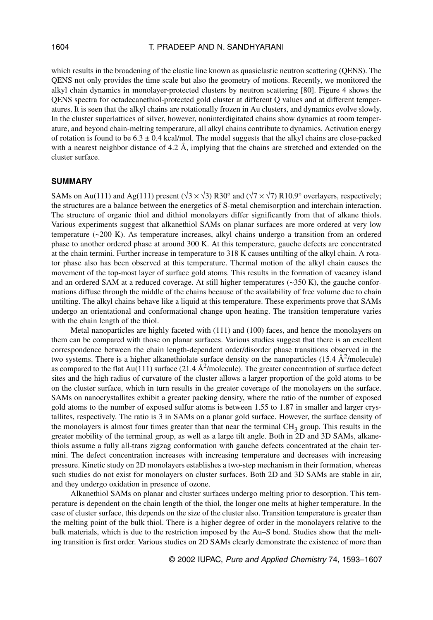which results in the broadening of the elastic line known as quasielastic neutron scattering (QENS). The QENS not only provides the time scale but also the geometry of motions. Recently, we monitored the alkyl chain dynamics in monolayer-protected clusters by neutron scattering [80]. Figure 4 shows the QENS spectra for octadecanethiol-protected gold cluster at different Q values and at different temperatures. It is seen that the alkyl chains are rotationally frozen in Au clusters, and dynamics evolve slowly. In the cluster superlattices of silver, however, noninterdigitated chains show dynamics at room temperature, and beyond chain-melting temperature, all alkyl chains contribute to dynamics. Activation energy of rotation is found to be  $6.3 \pm 0.4$  kcal/mol. The model suggests that the alkyl chains are close-packed with a nearest neighbor distance of 4.2  $\AA$ , implying that the chains are stretched and extended on the cluster surface.

## **SUMMARY**

SAMs on Au(111) and Ag(111) present ( $\sqrt{3} \times \sqrt{3}$ ) R30° and ( $\sqrt{7} \times \sqrt{7}$ ) R10.9° overlayers, respectively; the structures are a balance between the energetics of S-metal chemisorption and interchain interaction. The structure of organic thiol and dithiol monolayers differ significantly from that of alkane thiols. Various experiments suggest that alkanethiol SAMs on planar surfaces are more ordered at very low temperature (~200 K). As temperature increases, alkyl chains undergo a transition from an ordered phase to another ordered phase at around 300 K. At this temperature, gauche defects are concentrated at the chain termini. Further increase in temperature to 318 K causes untilting of the alkyl chain. A rotator phase also has been observed at this temperature. Thermal motion of the alkyl chain causes the movement of the top-most layer of surface gold atoms. This results in the formation of vacancy island and an ordered SAM at a reduced coverage. At still higher temperatures  $(\sim 350 \text{ K})$ , the gauche conformations diffuse through the middle of the chains because of the availability of free volume due to chain untilting. The alkyl chains behave like a liquid at this temperature. These experiments prove that SAMs undergo an orientational and conformational change upon heating. The transition temperature varies with the chain length of the thiol.

Metal nanoparticles are highly faceted with (111) and (100) faces, and hence the monolayers on them can be compared with those on planar surfaces. Various studies suggest that there is an excellent correspondence between the chain length-dependent order/disorder phase transitions observed in the two systems. There is a higher alkanethiolate surface density on the nanoparticles (15.4  $\AA^2$ /molecule) as compared to the flat Au(111) surface (21.4  $\rm \AA^2$ /molecule). The greater concentration of surface defect sites and the high radius of curvature of the cluster allows a larger proportion of the gold atoms to be on the cluster surface, which in turn results in the greater coverage of the monolayers on the surface. SAMs on nanocrystallites exhibit a greater packing density, where the ratio of the number of exposed gold atoms to the number of exposed sulfur atoms is between 1.55 to 1.87 in smaller and larger crystallites, respectively. The ratio is 3 in SAMs on a planar gold surface. However, the surface density of the monolayers is almost four times greater than that near the terminal  $CH<sub>3</sub>$  group. This results in the greater mobility of the terminal group, as well as a large tilt angle. Both in 2D and 3D SAMs, alkanethiols assume a fully all-trans zigzag conformation with gauche defects concentrated at the chain termini. The defect concentration increases with increasing temperature and decreases with increasing pressure. Kinetic study on 2D monolayers establishes a two-step mechanism in their formation, whereas such studies do not exist for monolayers on cluster surfaces. Both 2D and 3D SAMs are stable in air, and they undergo oxidation in presence of ozone.

Alkanethiol SAMs on planar and cluster surfaces undergo melting prior to desorption. This temperature is dependent on the chain length of the thiol, the longer one melts at higher temperature. In the case of cluster surface, this depends on the size of the cluster also. Transition temperature is greater than the melting point of the bulk thiol. There is a higher degree of order in the monolayers relative to the bulk materials, which is due to the restriction imposed by the Au–S bond. Studies show that the melting transition is first order. Various studies on 2D SAMs clearly demonstrate the existence of more than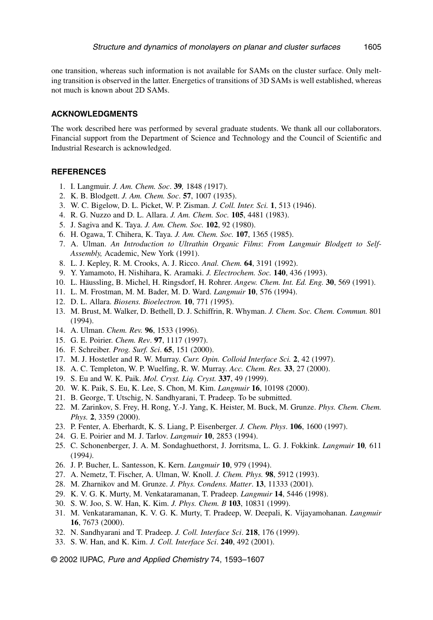one transition, whereas such information is not available for SAMs on the cluster surface. Only melting transition is observed in the latter. Energetics of transitions of 3D SAMs is well established, whereas not much is known about 2D SAMs.

## **ACKNOWLEDGMENTS**

The work described here was performed by several graduate students. We thank all our collaborators. Financial support from the Department of Science and Technology and the Council of Scientific and Industrial Research is acknowledged.

## **REFERENCES**

- 1. I. Langmuir. *J. Am. Chem. Soc*. **39***,* 1848 *(*1917).
- 2. K. B. Blodgett. *J. Am. Chem. Soc*. **57**, 1007 (1935).
- 3. W. C. Bigelow, D. L. Picket, W. P. Zisman. *J. Coll. Inter. Sci.* **1**, 513 (1946).
- 4. R. G. Nuzzo and D. L. Allara. *J. Am. Chem. Soc.* **105**, 4481 (1983).
- 5. J. Sagiva and K. Taya. *J. Am. Chem. Soc.* **102**, 92 (1980).
- 6. H. Ogawa, T. Chihera, K. Taya. *J. Am. Chem. Soc.* **107**, 1365 (1985).
- 7. A. Ulman. *An Introduction to Ultrathin Organic Films*: *From Langmuir Blodgett to Self-Assembly,* Academic, New York (1991).
- 8. L. J. Kepley, R. M. Crooks, A. J. Ricco. *Anal. Chem.* **64**, 3191 (1992).
- 9. Y. Yamamoto, H. Nishihara, K. Aramaki. *J. Electrochem. Soc.* **140**, 436 *(*1993).
- 10. L. Häussling, B. Michel, H. Ringsdorf, H. Rohrer. *Angew. Chem. Int. Ed. Eng.* **30**, 569 (1991).
- 11. L. M. Frostman, M. M. Bader, M. D. Ward. *Langmuir* **10**, 576 (1994).
- 12. D. L. Allara. *Biosens. Bioelectron.* **10**, 771 *(*1995).
- 13. M. Brust, M. Walker, D. Bethell, D. J. Schiffrin, R. Whyman. *J. Chem. Soc. Chem. Commun.* 801 (1994).
- 14. A. Ulman. *Chem. Rev.* **96**, 1533 (1996).
- 15. G. E. Poirier. *Chem. Rev*. **97**, 1117 (1997).
- 16. F. Schreiber. *Prog. Surf. Sci*. **65**, 151 (2000).
- 17. M. J. Hostetler and R. W. Murray. *Curr. Opin. Colloid Interface Sci.* **2**, 42 (1997).
- 18. A. C. Templeton, W. P. Wuelfing, R. W. Murray. *Acc. Chem. Res.* **33**, 27 (2000).
- 19. S. Eu and W. K. Paik. *Mol. Cryst. Liq. Cryst.* **337**, 49 *(*1999).
- 20. W. K. Paik, S. Eu, K. Lee, S. Chon, M. Kim. *Langmuir* **16**, 10198 (2000).
- 21. B. George, T. Utschig, N. Sandhyarani, T. Pradeep. To be submitted.
- 22. M. Zarinkov, S. Frey, H. Rong, Y.-J. Yang, K. Heister, M. Buck, M. Grunze. *Phys. Chem. Chem. Phys.* **2**, 3359 (2000).
- 23. P. Fenter, A. Eberhardt, K. S. Liang, P. Eisenberger. *J. Chem. Phys*. **106**, 1600 (1997).
- 24. G. E. Poirier and M. J. Tarlov. *Langmuir* **10**, 2853 (1994).
- 25. C. Schonenberger, J. A. M. Sondaghuethorst, J. Jorritsma, L. G. J. Fokkink. *Langmuir* **10***,* 611 (1994*)*.
- 26. J. P. Bucher, L. Santesson, K. Kern. *Langmuir* **10**, 979 (1994).
- 27. A. Nemetz, T. Fischer, A. Ulman, W. Knoll. *J. Chem. Phys.* **98**, 5912 (1993).
- 28. M. Zharnikov and M. Grunze. *J. Phys. Condens. Matter*. **13**, 11333 (2001).
- 29. K. V. G. K. Murty, M. Venkataramanan, T. Pradeep. *Langmuir* **14**, 5446 (1998).
- 30. S. W. Joo, S. W. Han, K. Kim. *J. Phys. Chem. B* **103**, 10831 (1999).
- 31. M. Venkataramanan, K. V. G. K. Murty, T. Pradeep, W. Deepali, K. Vijayamohanan. *Langmuir* **16**, 7673 (2000).
- 32. N. Sandhyarani and T. Pradeep. *J. Coll. Interface Sci*. **218**, 176 (1999).
- 33. S. W. Han, and K. Kim. *J. Coll. Interface Sci*. **240**, 492 (2001).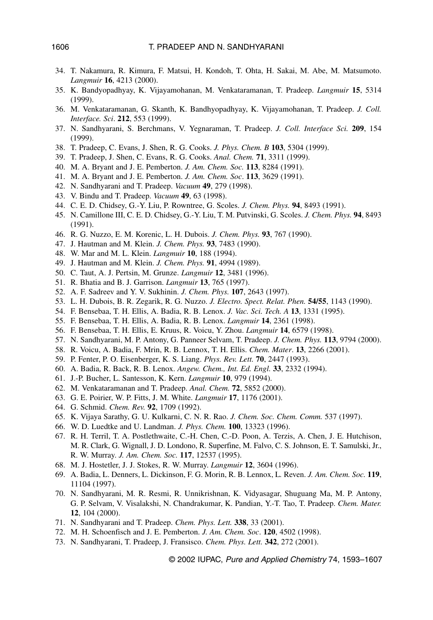- 34. T. Nakamura, R. Kimura, F. Matsui, H. Kondoh, T. Ohta, H. Sakai, M. Abe, M. Matsumoto. *Langmuir* **16**, 4213 (2000).
- 35. K. Bandyopadhyay, K. Vijayamohanan, M. Venkataramanan, T. Pradeep. *Langmuir* **15**, 5314 (1999).
- 36. M. Venkataramanan, G. Skanth, K. Bandhyopadhyay, K. Vijayamohanan, T. Pradeep. *J. Coll. Interface. Sci*. **212**, 553 (1999).
- 37. N. Sandhyarani, S. Berchmans, V. Yegnaraman, T. Pradeep. *J. Coll. Interface Sci.* **209**, 154 (1999).
- 38. T. Pradeep, C. Evans, J. Shen, R. G. Cooks. *J. Phys. Chem. B* **103**, 5304 (1999).
- 39. T. Pradeep, J. Shen, C. Evans, R. G. Cooks. *Anal. Chem.* **71**, 3311 (1999).
- 40. M. A. Bryant and J. E. Pemberton. *J. Am. Chem. Soc.* **113**, 8284 (1991).
- 41. M. A. Bryant and J. E. Pemberton. *J. Am. Chem. Soc*. **113**, 3629 (1991).
- 42. N. Sandhyarani and T. Pradeep. *Vacuum* **49**, 279 (1998).
- 43. V. Bindu and T. Pradeep. *Vacuum* **49**, 63 (1998).
- 44. C. E. D. Chidsey, G.-Y. Liu, P. Rowntree, G. Scoles. *J. Chem. Phys.* **94**, 8493 (1991).
- 45. N. Camillone III, C. E. D. Chidsey, G.-Y. Liu, T. M. Putvinski, G. Scoles. *J. Chem. Phys.* **94**, 8493 (1991).
- 46. R. G. Nuzzo, E. M. Korenic, L. H. Dubois. *J. Chem. Phys.* **93**, 767 (1990).
- 47. J. Hautman and M. Klein. *J. Chem. Phys.* **93**, 7483 (1990).
- 48. W. Mar and M. L. Klein. *Langmuir* **10**, 188 (1994).
- 49. J. Hautman and M. Klein. *J. Chem. Phys.* **91**, 4994 (1989).
- 50. C. Taut, A. J. Pertsin, M. Grunze. *Langmuir* **12**, 3481 (1996).
- 51. R. Bhatia and B. J. Garrison. *Langmuir* **13**, 765 (1997).
- 52. A. F. Sadreev and Y. V. Sukhinin. *J. Chem. Phys.* **107**, 2643 (1997).
- 53. L. H. Dubois, B. R. Zegarik, R. G. Nuzzo. *J. Electro. Spect. Relat. Phen.* **54/55**, 1143 (1990).
- 54. F. Bensebaa, T. H. Ellis, A. Badia, R. B. Lenox. *J. Vac. Sci. Tech. A* **13**, 1331 (1995).
- 55. F. Bensebaa, T. H. Ellis, A. Badia, R. B. Lenox. *Langmuir* **14**, 2361 (1998).
- 56. F. Bensebaa, T. H. Ellis, E. Kruus, R. Voicu, Y. Zhou. *Langmuir* **14**, 6579 (1998).
- 57. N. Sandhyarani, M. P. Antony, G. Panneer Selvam, T. Pradeep. *J. Chem. Phys.* **113**, 9794 (2000).
- 58. R. Voicu, A. Badia, F. Mrin, R. B. Lennox, T. H. Ellis. *Chem. Mater*. **13**, 2266 (2001).
- 59. P. Fenter, P. O. Eisenberger, K. S. Liang. *Phys. Rev. Lett.* **70**, 2447 (1993).
- 60. A. Badia, R. Back, R. B. Lenox. *Angew. Chem., Int. Ed. Engl.* **33**, 2332 (1994).
- 61. J.-P. Bucher, L. Santesson, K. Kern. *Langmuir* **10**, 979 (1994).
- 62. M. Venkataramanan and T. Pradeep. *Anal. Chem.* **72**, 5852 (2000).
- 63. G. E. Poirier, W. P. Fitts, J. M. White. *Langmuir* **17**, 1176 (2001).
- 64. G. Schmid. *Chem. Rev.* **92**, 1709 (1992).
- 65. K. Vijaya Sarathy, G. U. Kulkarni, C. N. R. Rao. *J. Chem. Soc. Chem. Comm.* 537 (1997).
- 66. W. D. Luedtke and U. Landman. *J. Phys. Chem.* **100**, 13323 (1996).
- 67. R. H. Terril, T. A. Postlethwaite, C.-H. Chen, C.-D. Poon, A. Terzis, A. Chen, J. E. Hutchison, M. R. Clark, G. Wignall, J. D. Londono, R. Superfine, M. Falvo, C. S. Johnson, E. T. Samulski, Jr., R. W. Murray. *J. Am. Chem. Soc.* **117**, 12537 (1995).
- 68. M. J. Hostetler, J. J. Stokes, R. W. Murray. *Langmuir* **12**, 3604 (1996).
- 69. A. Badia, L. Denners, L. Dickinson, F. G. Morin, R. B. Lennox, L*.* Reven. *J. Am. Chem. Soc.* **119**, 11104 (1997).
- 70. N. Sandhyarani, M. R. Resmi, R. Unnikrishnan, K. Vidyasagar, Shuguang Ma, M. P. Antony, G. P. Selvam, V. Visalakshi, N. Chandrakumar, K. Pandian, Y.-T. Tao, T. Pradeep. *Chem. Mater.* **12**, 104 (2000).
- 71. N. Sandhyarani and T. Pradeep. *Chem. Phys. Lett.* **338**, 33 (2001).
- 72. M. H. Schoenfisch and J. E. Pemberton. *J. Am. Chem. Soc*. **120**, 4502 (1998).
- 73. N. Sandhyarani, T. Pradeep, J. Fransisco. *Chem. Phys. Lett.* **342**, 272 (2001).